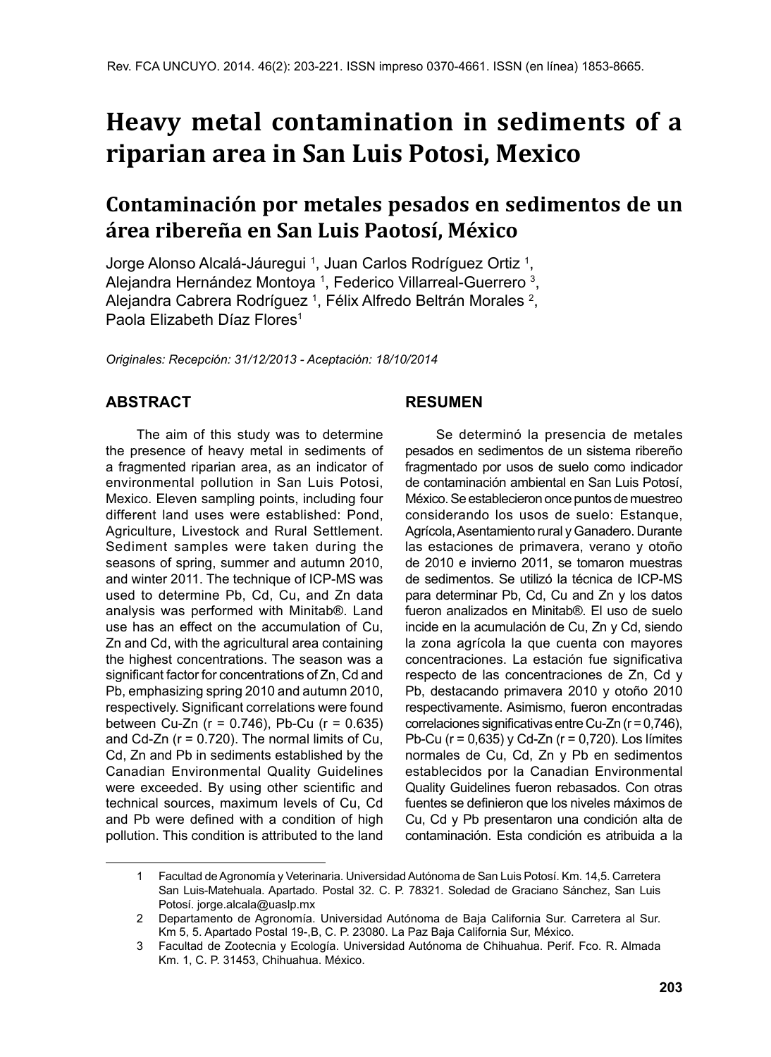# **Heavy metal contamination in sediments of a riparian area in San Luis Potosi, Mexico**

# **Contaminación por metales pesados en sedimentos de un área ribereña en San Luis Paotosí, México**

Jorge Alonso Alcalá-Jáuregui <sup>1</sup>, Juan Carlos Rodríguez Ortiz <sup>1</sup>, Alejandra Hernández Montoya <sup>1</sup>, Federico Villarreal-Guerrero <sup>3</sup>, Alejandra Cabrera Rodríguez <sup>1</sup>, Félix Alfredo Beltrán Morales <sup>2</sup>, Paola Elizabeth Díaz Flores<sup>1</sup>

*Originales: Recepción: 31/12/2013 - Aceptación: 18/10/2014*

# **ABSTRACT**

The aim of this study was to determine the presence of heavy metal in sediments of a fragmented riparian area, as an indicator of environmental pollution in San Luis Potosi, Mexico. Eleven sampling points, including four different land uses were established: Pond, Agriculture, Livestock and Rural Settlement. Sediment samples were taken during the seasons of spring, summer and autumn 2010, and winter 2011. The technique of ICP-MS was used to determine Pb, Cd, Cu, and Zn data analysis was performed with Minitab®. Land use has an effect on the accumulation of Cu, Zn and Cd, with the agricultural area containing the highest concentrations. The season was a significant factor for concentrations of Zn, Cd and Pb, emphasizing spring 2010 and autumn 2010, respectively. Significant correlations were found between Cu-Zn (r = 0.746), Pb-Cu (r = 0.635) and Cd-Zn  $(r = 0.720)$ . The normal limits of Cu, Cd, Zn and Pb in sediments established by the Canadian Environmental Quality Guidelines were exceeded. By using other scientific and technical sources, maximum levels of Cu, Cd and Pb were defined with a condition of high pollution. This condition is attributed to the land

# **RESUMEN**

Se determinó la presencia de metales pesados en sedimentos de un sistema ribereño fragmentado por usos de suelo como indicador de contaminación ambiental en San Luis Potosí, México. Se establecieron once puntos de muestreo considerando los usos de suelo: Estanque, Agrícola, Asentamiento rural y Ganadero. Durante las estaciones de primavera, verano y otoño de 2010 e invierno 2011, se tomaron muestras de sedimentos. Se utilizó la técnica de ICP-MS para determinar Pb, Cd, Cu and Zn y los datos fueron analizados en Minitab®. El uso de suelo incide en la acumulación de Cu, Zn y Cd, siendo la zona agrícola la que cuenta con mayores concentraciones. La estación fue significativa respecto de las concentraciones de Zn, Cd y Pb, destacando primavera 2010 y otoño 2010 respectivamente. Asimismo, fueron encontradas correlaciones significativas entre Cu-Zn (r = 0,746), Pb-Cu ( $r = 0.635$ ) y Cd-Zn ( $r = 0.720$ ). Los límites normales de Cu, Cd, Zn y Pb en sedimentos establecidos por la Canadian Environmental Quality Guidelines fueron rebasados. Con otras fuentes se definieron que los niveles máximos de Cu, Cd y Pb presentaron una condición alta de contaminación. Esta condición es atribuida a la

<sup>1</sup> Facultad de Agronomía y Veterinaria. Universidad Autónoma de San Luis Potosí. Km. 14,5. Carretera San Luis-Matehuala. Apartado. Postal 32. C. P. 78321. Soledad de Graciano Sánchez, San Luis Potosí. jorge.alcala@uaslp.mx

<sup>2</sup> Departamento de Agronomía. Universidad Autónoma de Baja California Sur. Carretera al Sur. Km 5, 5. Apartado Postal 19-,B, C. P. 23080. La Paz Baja California Sur, México.

<sup>3</sup> Facultad de Zootecnia y Ecología. Universidad Autónoma de Chihuahua. Perif. Fco. R. Almada Km. 1, C. P. 31453, Chihuahua. México.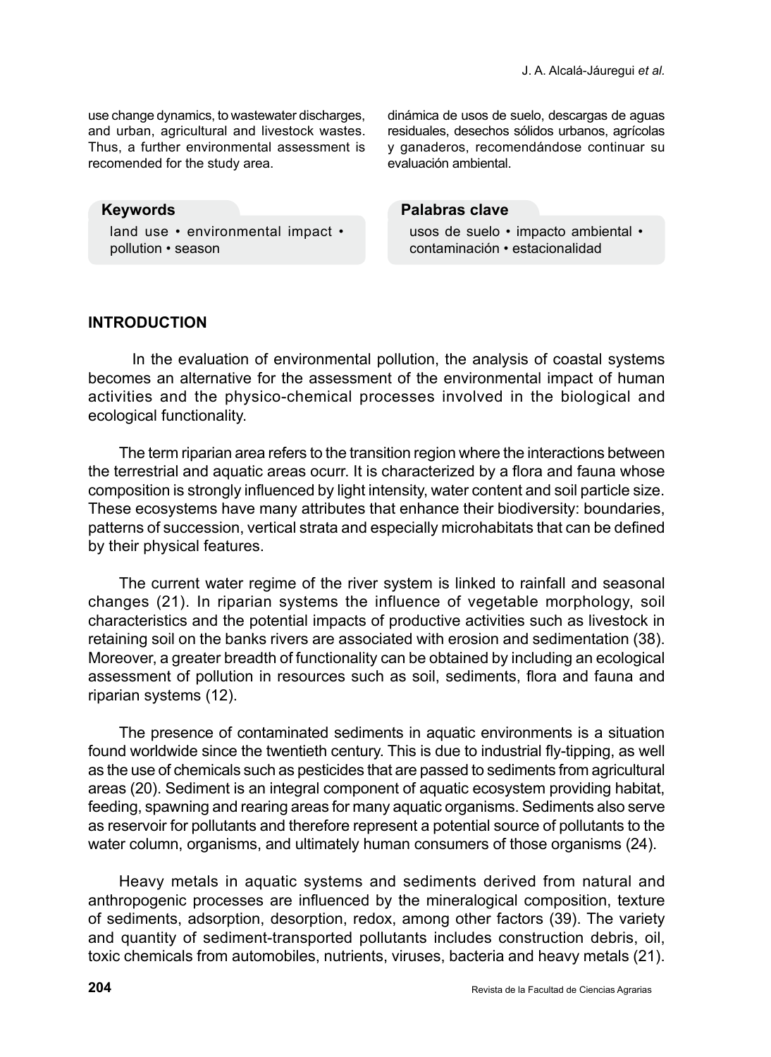use change dynamics, to wastewater discharges, and urban, agricultural and livestock wastes. Thus, a further environmental assessment is recomended for the study area.

**Keywords**

land use • environmental impact • pollution • season

dinámica de usos de suelo, descargas de aguas residuales, desechos sólidos urbanos, agrícolas y ganaderos, recomendándose continuar su evaluación ambiental.

#### **Palabras clave**

usos de suelo • impacto ambiental • contaminación • estacionalidad

#### **INTRODUCTION**

In the evaluation of environmental pollution, the analysis of coastal systems becomes an alternative for the assessment of the environmental impact of human activities and the physico-chemical processes involved in the biological and ecological functionality.

The term riparian area refers to the transition region where the interactions between the terrestrial and aquatic areas ocurr. It is characterized by a flora and fauna whose composition is strongly influenced by light intensity, water content and soil particle size. These ecosystems have many attributes that enhance their biodiversity: boundaries, patterns of succession, vertical strata and especially microhabitats that can be defined by their physical features.

The current water regime of the river system is linked to rainfall and seasonal changes (21). In riparian systems the influence of vegetable morphology, soil characteristics and the potential impacts of productive activities such as livestock in retaining soil on the banks rivers are associated with erosion and sedimentation (38). Moreover, a greater breadth of functionality can be obtained by including an ecological assessment of pollution in resources such as soil, sediments, flora and fauna and riparian systems (12).

The presence of contaminated sediments in aquatic environments is a situation found worldwide since the twentieth century. This is due to industrial fly-tipping, as well as the use of chemicals such as pesticides that are passed to sediments from agricultural areas (20). Sediment is an integral component of aquatic ecosystem providing habitat, feeding, spawning and rearing areas for many aquatic organisms. Sediments also serve as reservoir for pollutants and therefore represent a potential source of pollutants to the water column, organisms, and ultimately human consumers of those organisms (24).

Heavy metals in aquatic systems and sediments derived from natural and anthropogenic processes are influenced by the mineralogical composition, texture of sediments, adsorption, desorption, redox, among other factors (39). The variety and quantity of sediment-transported pollutants includes construction debris, oil, toxic chemicals from automobiles, nutrients, viruses, bacteria and heavy metals (21).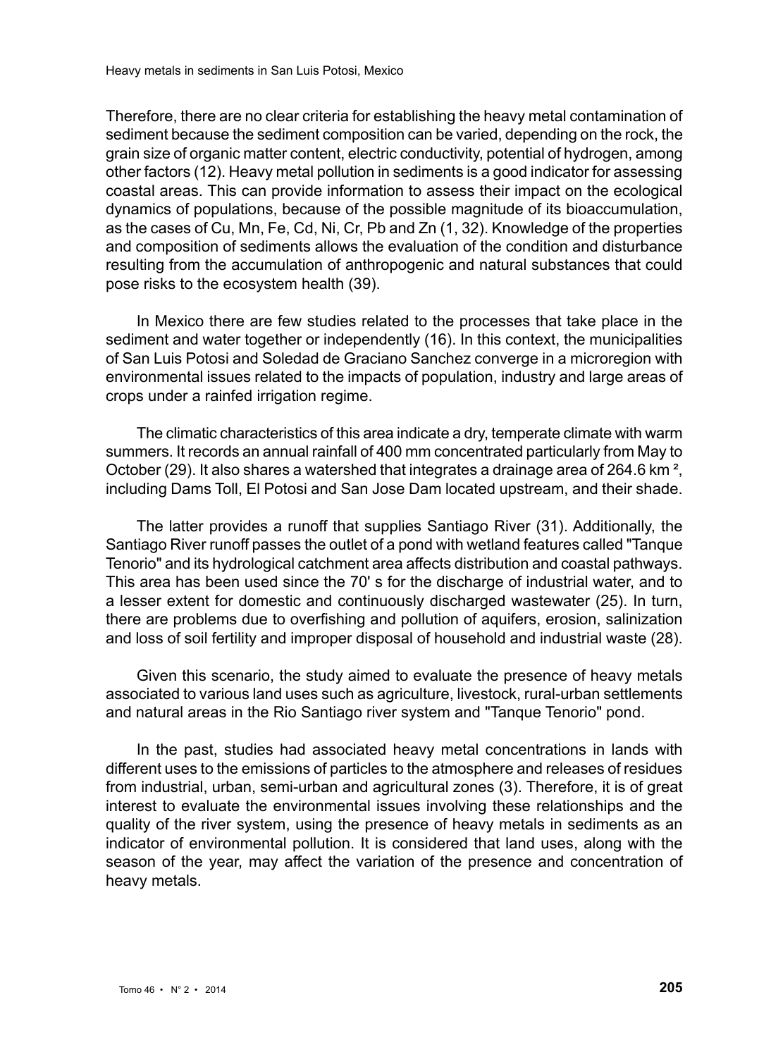Heavy metals in sediments in San Luis Potosi, Mexico

Therefore, there are no clear criteria for establishing the heavy metal contamination of sediment because the sediment composition can be varied, depending on the rock, the grain size of organic matter content, electric conductivity, potential of hydrogen, among other factors (12). Heavy metal pollution in sediments is a good indicator for assessing coastal areas. This can provide information to assess their impact on the ecological dynamics of populations, because of the possible magnitude of its bioaccumulation, as the cases of Cu, Mn, Fe, Cd, Ni, Cr, Pb and Zn (1, 32). Knowledge of the properties and composition of sediments allows the evaluation of the condition and disturbance resulting from the accumulation of anthropogenic and natural substances that could pose risks to the ecosystem health (39).

In Mexico there are few studies related to the processes that take place in the sediment and water together or independently (16). In this context, the municipalities of San Luis Potosi and Soledad de Graciano Sanchez converge in a microregion with environmental issues related to the impacts of population, industry and large areas of crops under a rainfed irrigation regime.

The climatic characteristics of this area indicate a dry, temperate climate with warm summers. It records an annual rainfall of 400 mm concentrated particularly from May to October (29). It also shares a watershed that integrates a drainage area of 264.6 km<sup>2</sup>, including Dams Toll, El Potosi and San Jose Dam located upstream, and their shade.

The latter provides a runoff that supplies Santiago River (31). Additionally, the Santiago River runoff passes the outlet of a pond with wetland features called "Tanque Tenorio" and its hydrological catchment area affects distribution and coastal pathways. This area has been used since the 70' s for the discharge of industrial water, and to a lesser extent for domestic and continuously discharged wastewater (25). In turn, there are problems due to overfishing and pollution of aquifers, erosion, salinization and loss of soil fertility and improper disposal of household and industrial waste (28).

Given this scenario, the study aimed to evaluate the presence of heavy metals associated to various land uses such as agriculture, livestock, rural-urban settlements and natural areas in the Rio Santiago river system and "Tanque Tenorio" pond.

In the past, studies had associated heavy metal concentrations in lands with different uses to the emissions of particles to the atmosphere and releases of residues from industrial, urban, semi-urban and agricultural zones (3). Therefore, it is of great interest to evaluate the environmental issues involving these relationships and the quality of the river system, using the presence of heavy metals in sediments as an indicator of environmental pollution. It is considered that land uses, along with the season of the year, may affect the variation of the presence and concentration of heavy metals.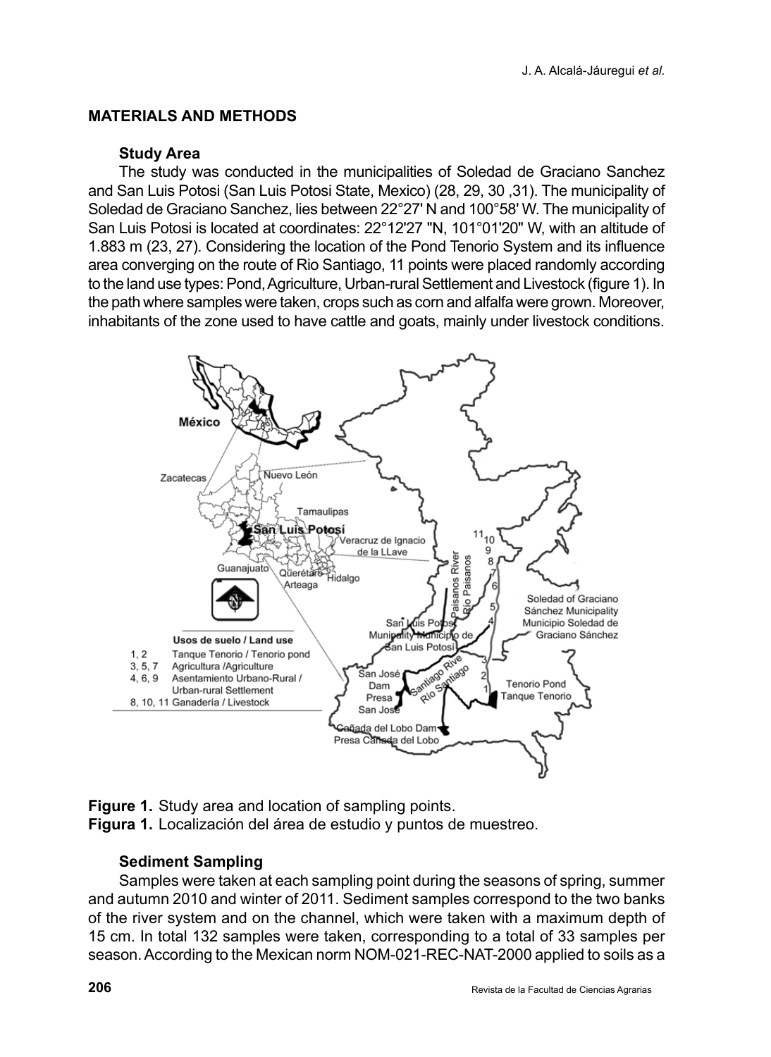# **MATERIALS AND METHODS**

# **Study Area**

The study was conducted in the municipalities of Soledad de Graciano Sanchez and San Luis Potosi (San Luis Potosi State, Mexico) (28, 29, 30 ,31). The municipality of Soledad de Graciano Sanchez, lies between 22°27' N and 100°58' W. The municipality of San Luis Potosi is located at coordinates: 22°12'27 "N, 101°01'20" W, with an altitude of 1.883 m (23, 27). Considering the location of the Pond Tenorio System and its influence area converging on the route of Rio Santiago, 11 points were placed randomly according to the land use types: Pond, Agriculture, Urban-rural Settlement and Livestock (figure 1). In the path where samples were taken, crops such as corn and alfalfa were grown. Moreover, inhabitants of the zone used to have cattle and goats, mainly under livestock conditions.



**Figure 1.** Study area and location of sampling points. **Figura 1.** Localización del área de estudio y puntos de muestreo.

# **Sediment Sampling**

Samples were taken at each sampling point during the seasons of spring, summer and autumn 2010 and winter of 2011. Sediment samples correspond to the two banks of the river system and on the channel, which were taken with a maximum depth of 15 cm. In total 132 samples were taken, corresponding to a total of 33 samples per season. According to the Mexican norm NOM-021-REC-NAT-2000 applied to soils as a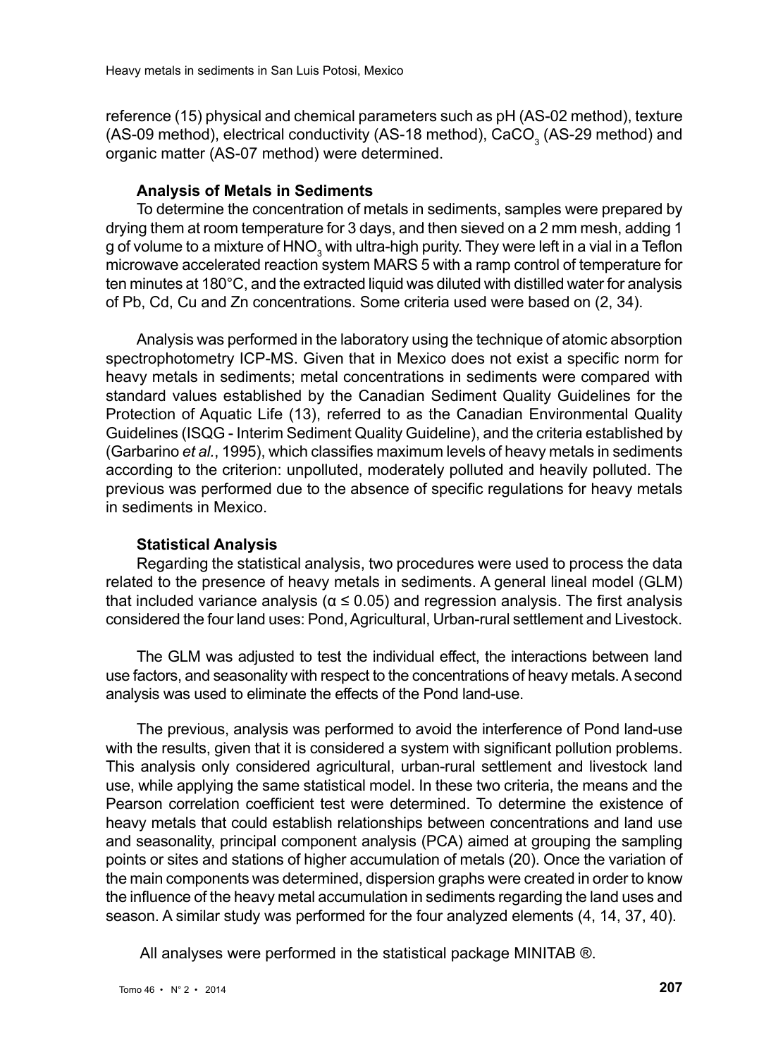reference (15) physical and chemical parameters such as pH (AS-02 method), texture (AS-09 method), electrical conductivity (AS-18 method), CaCO<sub>3</sub> (AS-29 method) and organic matter (AS-07 method) were determined.

#### **Analysis of Metals in Sediments**

To determine the concentration of metals in sediments, samples were prepared by drying them at room temperature for 3 days, and then sieved on a 2 mm mesh, adding 1 g of volume to a mixture of HNO<sub>3</sub> with ultra-high purity. They were left in a vial in a Teflon microwave accelerated reaction system MARS 5 with a ramp control of temperature for ten minutes at 180°C, and the extracted liquid was diluted with distilled water for analysis of Pb, Cd, Cu and Zn concentrations. Some criteria used were based on (2, 34).

Analysis was performed in the laboratory using the technique of atomic absorption spectrophotometry ICP-MS. Given that in Mexico does not exist a specific norm for heavy metals in sediments; metal concentrations in sediments were compared with standard values established by the Canadian Sediment Quality Guidelines for the Protection of Aquatic Life (13), referred to as the Canadian Environmental Quality Guidelines (ISQG - Interim Sediment Quality Guideline), and the criteria established by (Garbarino *et al.*, 1995), which classifies maximum levels of heavy metals in sediments according to the criterion: unpolluted, moderately polluted and heavily polluted. The previous was performed due to the absence of specific regulations for heavy metals in sediments in Mexico.

## **Statistical Analysis**

Regarding the statistical analysis, two procedures were used to process the data related to the presence of heavy metals in sediments. A general lineal model (GLM) that included variance analysis ( $\alpha \le 0.05$ ) and regression analysis. The first analysis considered the four land uses: Pond, Agricultural, Urban-rural settlement and Livestock.

The GLM was adjusted to test the individual effect, the interactions between land use factors, and seasonality with respect to the concentrations of heavy metals. A second analysis was used to eliminate the effects of the Pond land-use.

The previous, analysis was performed to avoid the interference of Pond land-use with the results, given that it is considered a system with significant pollution problems. This analysis only considered agricultural, urban-rural settlement and livestock land use, while applying the same statistical model. In these two criteria, the means and the Pearson correlation coefficient test were determined. To determine the existence of heavy metals that could establish relationships between concentrations and land use and seasonality, principal component analysis (PCA) aimed at grouping the sampling points or sites and stations of higher accumulation of metals (20). Once the variation of the main components was determined, dispersion graphs were created in order to know the influence of the heavy metal accumulation in sediments regarding the land uses and season. A similar study was performed for the four analyzed elements (4, 14, 37, 40).

All analyses were performed in the statistical package MINITAB ®.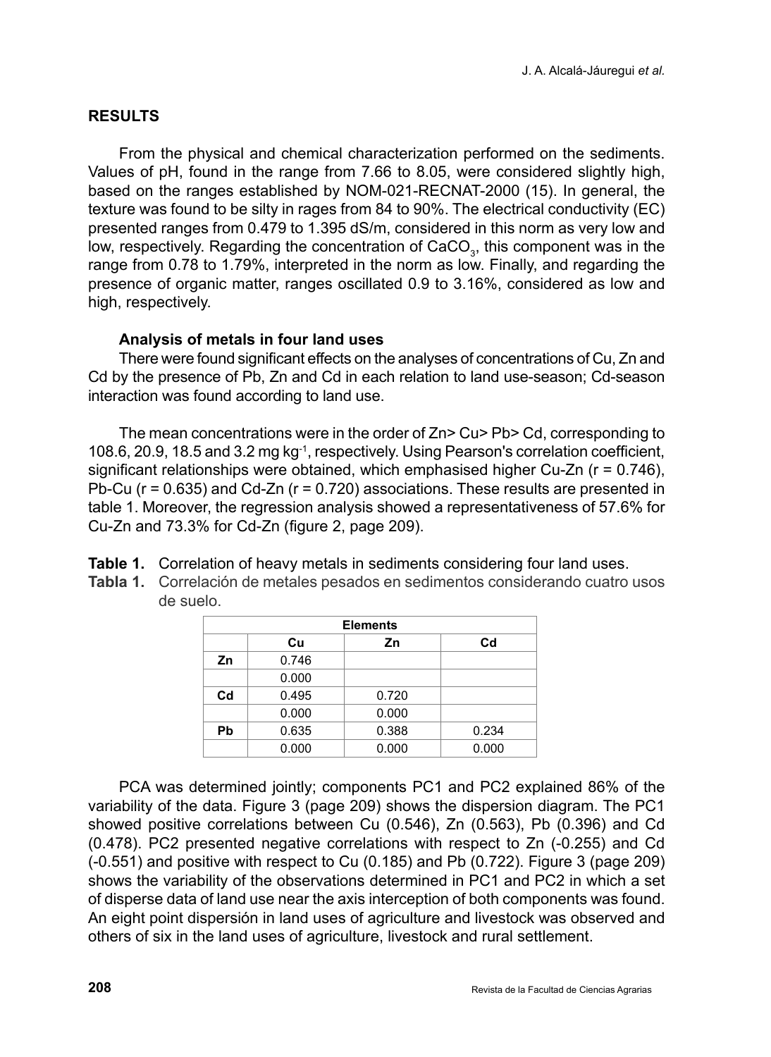# **RESULTS**

From the physical and chemical characterization performed on the sediments. Values of pH, found in the range from 7.66 to 8.05, were considered slightly high, based on the ranges established by NOM-021-RECNAT-2000 (15). In general, the texture was found to be silty in rages from 84 to 90%. The electrical conductivity (EC) presented ranges from 0.479 to 1.395 dS/m, considered in this norm as very low and low, respectively. Regarding the concentration of  $\text{CaCO}_3$ , this component was in the range from 0.78 to 1.79%, interpreted in the norm as low. Finally, and regarding the presence of organic matter, ranges oscillated 0.9 to 3.16%, considered as low and high, respectively.

# **Analysis of metals in four land uses**

There were found significant effects on the analyses of concentrations of Cu, Zn and Cd by the presence of Pb, Zn and Cd in each relation to land use-season; Cd-season interaction was found according to land use.

The mean concentrations were in the order of Zn> Cu> Pb> Cd, corresponding to 108.6, 20.9, 18.5 and 3.2 mg kg-1, respectively. Using Pearson's correlation coefficient, significant relationships were obtained, which emphasised higher Cu-Zn  $(r = 0.746)$ , Pb-Cu (r = 0.635) and Cd-Zn (r = 0.720) associations. These results are presented in table 1. Moreover, the regression analysis showed a representativeness of 57.6% for Cu-Zn and 73.3% for Cd-Zn (figure 2, page 209).

- **Table 1.** Correlation of heavy metals in sediments considering four land uses.
- **Tabla 1.** Correlación de metales pesados en sedimentos considerando cuatro usos de suelo.

| <b>Elements</b> |       |       |             |  |  |  |
|-----------------|-------|-------|-------------|--|--|--|
|                 | Cu    | Zn    | $_{\rm cd}$ |  |  |  |
| Zn              | 0.746 |       |             |  |  |  |
|                 | 0.000 |       |             |  |  |  |
| C <sub>d</sub>  | 0.495 | 0.720 |             |  |  |  |
|                 | 0.000 | 0.000 |             |  |  |  |
| Pb              | 0.635 | 0.388 | 0.234       |  |  |  |
|                 | 0.000 | 0.000 | 0.000       |  |  |  |

PCA was determined jointly; components PC1 and PC2 explained 86% of the variability of the data. Figure 3 (page 209) shows the dispersion diagram. The PC1 showed positive correlations between Cu (0.546), Zn (0.563), Pb (0.396) and Cd (0.478). PC2 presented negative correlations with respect to Zn (-0.255) and Cd (-0.551) and positive with respect to Cu (0.185) and Pb (0.722). Figure 3 (page 209) shows the variability of the observations determined in PC1 and PC2 in which a set of disperse data of land use near the axis interception of both components was found. An eight point dispersión in land uses of agriculture and livestock was observed and others of six in the land uses of agriculture, livestock and rural settlement.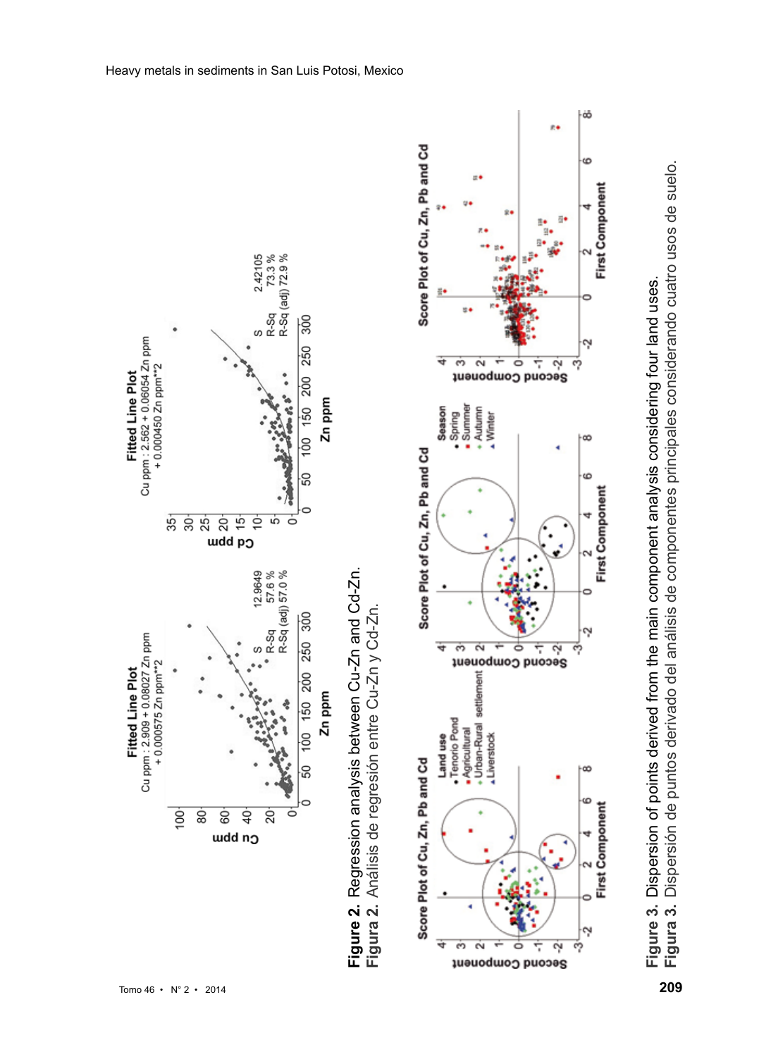





òô

œ

First Component

**First Component** 

First Component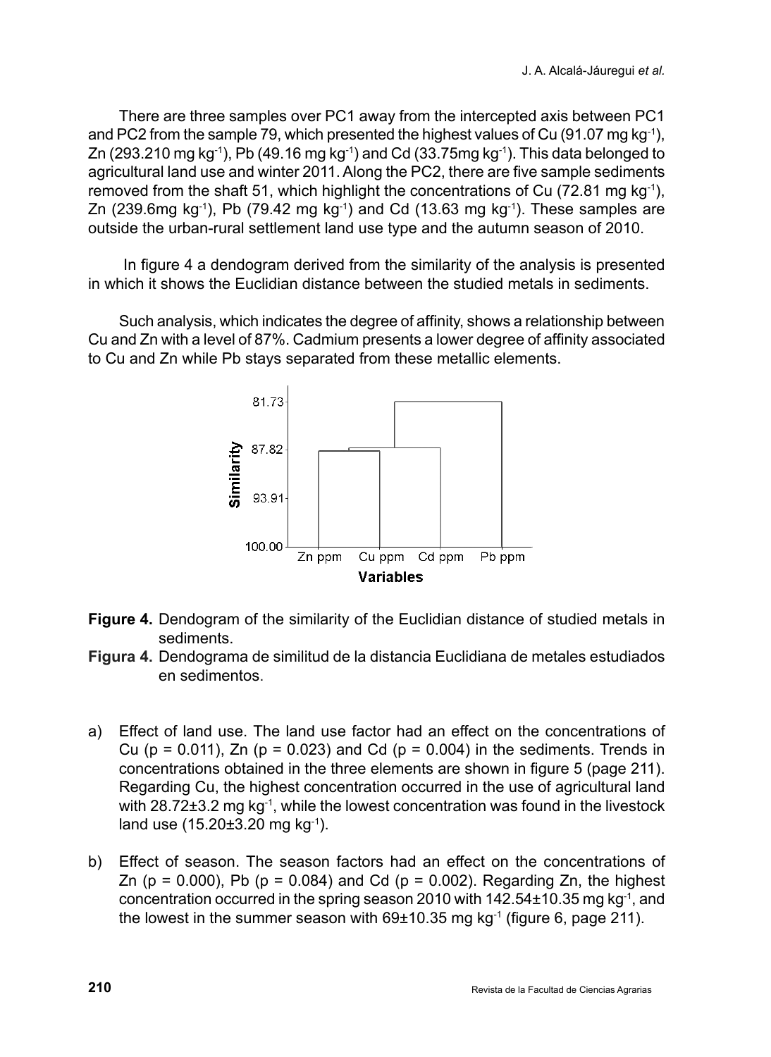There are three samples over PC1 away from the intercepted axis between PC1 and PC2 from the sample 79, which presented the highest values of Cu (91.07 mg kg-1), Zn (293.210 mg kg<sup>-1</sup>), Pb (49.16 mg kg<sup>-1</sup>) and Cd (33.75mg kg<sup>-1</sup>). This data belonged to agricultural land use and winter 2011. Along the PC2, there are five sample sediments removed from the shaft 51, which highlight the concentrations of Cu (72.81 mg kg-1), Zn (239.6mg kg<sup>-1</sup>), Pb (79.42 mg kg<sup>-1</sup>) and Cd (13.63 mg kg<sup>-1</sup>). These samples are outside the urban-rural settlement land use type and the autumn season of 2010.

 In figure 4 a dendogram derived from the similarity of the analysis is presented in which it shows the Euclidian distance between the studied metals in sediments.

Such analysis, which indicates the degree of affinity, shows a relationship between Cu and Zn with a level of 87%. Cadmium presents a lower degree of affinity associated to Cu and Zn while Pb stays separated from these metallic elements.



- **Figure 4.** Dendogram of the similarity of the Euclidian distance of studied metals in sediments.
- **Figura 4.** Dendograma de similitud de la distancia Euclidiana de metales estudiados en sedimentos.
- a) Effect of land use. The land use factor had an effect on the concentrations of Cu ( $p = 0.011$ ), Zn ( $p = 0.023$ ) and Cd ( $p = 0.004$ ) in the sediments. Trends in concentrations obtained in the three elements are shown in figure 5 (page 211). Regarding Cu, the highest concentration occurred in the use of agricultural land with 28.72±3.2 mg kg-1, while the lowest concentration was found in the livestock land use (15.20±3.20 mg kg-1).
- b) Effect of season. The season factors had an effect on the concentrations of Zn ( $p = 0.000$ ), Pb ( $p = 0.084$ ) and Cd ( $p = 0.002$ ). Regarding Zn, the highest concentration occurred in the spring season 2010 with 142.54±10.35 mg kg-1, and the lowest in the summer season with 69±10.35 mg kg-1 (figure 6, page 211).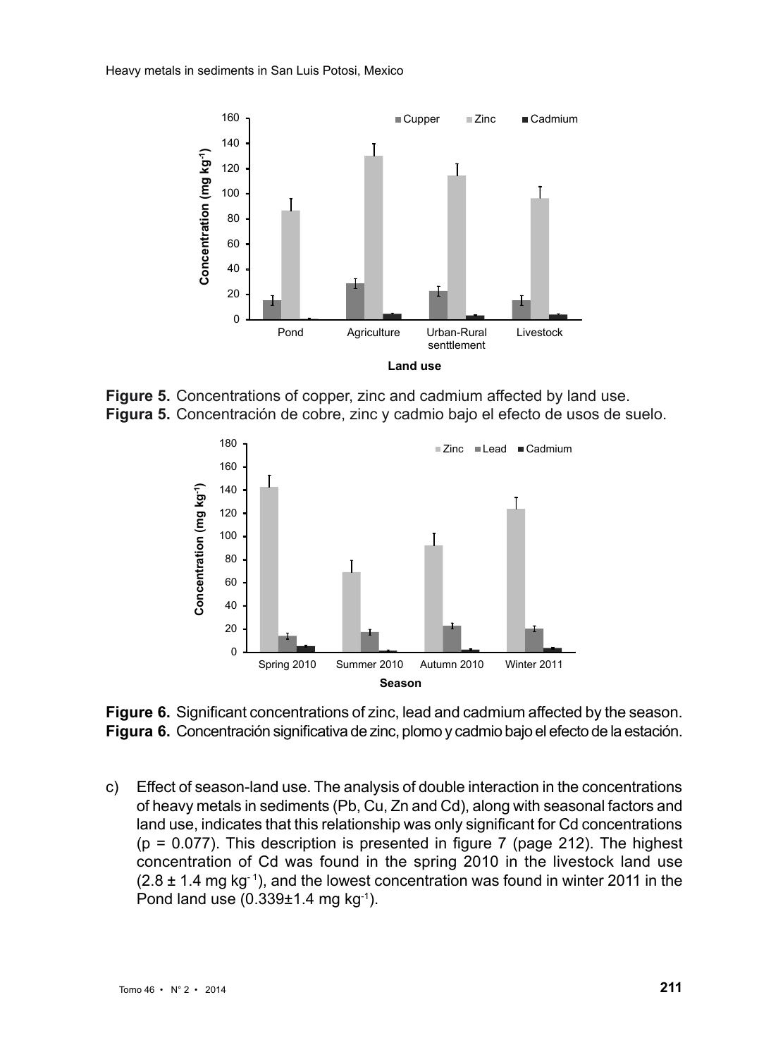

**Figure 5.** Concentrations of copper, zinc and cadmium affected by land use. **Figura 5.** Concentración de cobre, zinc y cadmio bajo el efecto de usos de suelo.



**Figure 6.** Significant concentrations of zinc, lead and cadmium affected by the season. **Figura 6.** Concentración significativa de zinc, plomo y cadmio bajo el efecto de la estación.

c) Effect of season-land use. The analysis of double interaction in the concentrations of heavy metals in sediments (Pb, Cu, Zn and Cd), along with seasonal factors and land use, indicates that this relationship was only significant for Cd concentrations  $(p = 0.077)$ . This description is presented in figure 7 (page 212). The highest concentration of Cd was found in the spring 2010 in the livestock land use  $(2.8 \pm 1.4 \text{ mg kg}^{-1})$ , and the lowest concentration was found in winter 2011 in the Pond land use  $(0.339\pm1.4 \text{ mg kg}^{-1})$ .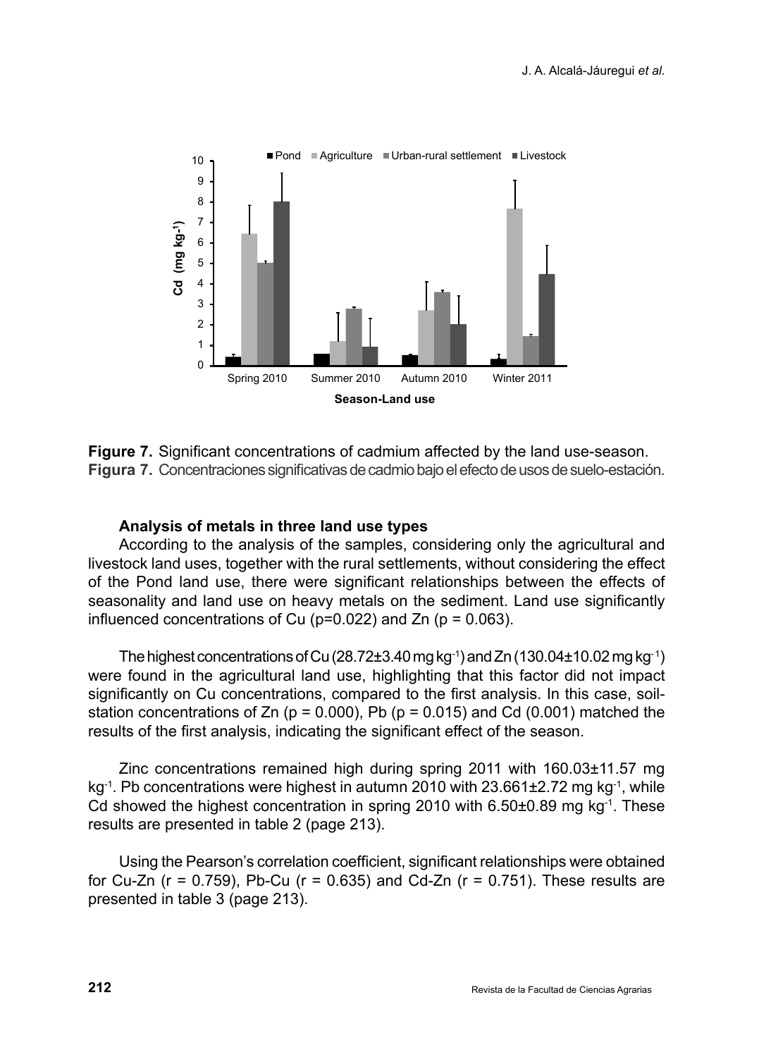

**Figure 7.** Significant concentrations of cadmium affected by the land use-season. **Figura 7.** Concentraciones significativas de cadmio bajo el efecto de usos de suelo-estación.

#### **Analysis of metals in three land use types**

According to the analysis of the samples, considering only the agricultural and livestock land uses, together with the rural settlements, without considering the effect of the Pond land use, there were significant relationships between the effects of seasonality and land use on heavy metals on the sediment. Land use significantly influenced concentrations of Cu ( $p=0.022$ ) and Zn ( $p = 0.063$ ).

The highest concentrations of Cu (28.72 $\pm 3.40$  mg kg<sup>-1</sup>) and Zn (130.04 $\pm$ 10.02 mg kg<sup>-1</sup>) were found in the agricultural land use, highlighting that this factor did not impact significantly on Cu concentrations, compared to the first analysis. In this case, soilstation concentrations of Zn ( $p = 0.000$ ), Pb ( $p = 0.015$ ) and Cd (0.001) matched the results of the first analysis, indicating the significant effect of the season.

Zinc concentrations remained high during spring 2011 with 160.03±11.57 mg kg<sup>-1</sup>. Pb concentrations were highest in autumn 2010 with 23.661 $\pm$ 2.72 mg kg<sup>-1</sup>, while Cd showed the highest concentration in spring 2010 with  $6.50\pm0.89$  mg kg<sup>-1</sup>. These results are presented in table 2 (page 213).

Using the Pearson's correlation coefficient, significant relationships were obtained for Cu-Zn ( $r = 0.759$ ), Pb-Cu ( $r = 0.635$ ) and Cd-Zn ( $r = 0.751$ ). These results are presented in table 3 (page 213).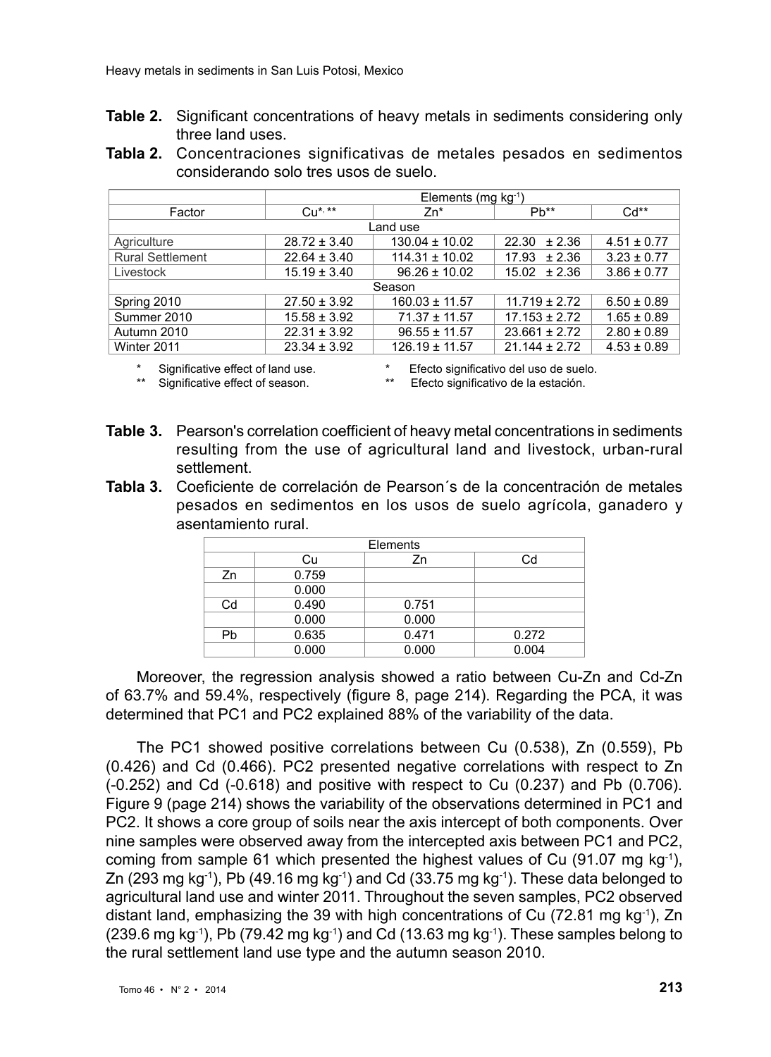- **Table 2.** Significant concentrations of heavy metals in sediments considering only three land uses.
- **Tabla 2.** Concentraciones significativas de metales pesados en sedimentos considerando solo tres usos de suelo.

|                         | Elements (mg $kg^{-1}$ ) |                    |                   |                 |  |  |  |
|-------------------------|--------------------------|--------------------|-------------------|-----------------|--|--|--|
| Factor                  | $Cu*$ **                 | $Zn^*$             | $Pb**$            | $Cd**$          |  |  |  |
| Land use                |                          |                    |                   |                 |  |  |  |
| Agriculture             | $28.72 \pm 3.40$         | $130.04 \pm 10.02$ | $22.30 \pm 2.36$  | $4.51 \pm 0.77$ |  |  |  |
| <b>Rural Settlement</b> | $22.64 \pm 3.40$         | $114.31 \pm 10.02$ | $17.93 \pm 2.36$  | $3.23 \pm 0.77$ |  |  |  |
| Livestock               | $15.19 \pm 3.40$         | $96.26 \pm 10.02$  | $15.02 \pm 2.36$  | $3.86 \pm 0.77$ |  |  |  |
| Season                  |                          |                    |                   |                 |  |  |  |
| Spring 2010             | $27.50 \pm 3.92$         | $160.03 \pm 11.57$ | $11.719 \pm 2.72$ | $6.50 \pm 0.89$ |  |  |  |
| Summer 2010             | $15.58 \pm 3.92$         | $71.37 \pm 11.57$  | $17.153 \pm 2.72$ | $1.65 \pm 0.89$ |  |  |  |
| Autumn 2010             | $22.31 \pm 3.92$         | $96.55 \pm 11.57$  | $23.661 \pm 2.72$ | $2.80 \pm 0.89$ |  |  |  |
| Winter 2011             | $23.34 \pm 3.92$         | $126.19 \pm 11.57$ | $21.144 \pm 2.72$ | $4.53 \pm 0.89$ |  |  |  |

\* Significative effect of land use. \* \* Efecto significativo del uso de suelo.<br>\*\* Significative effect of season. \*\* Efecto significativo de la estación. \*\* Efecto significativo de la estación.

- **Table 3.** Pearson's correlation coefficient of heavy metal concentrations in sediments resulting from the use of agricultural land and livestock, urban-rural settlement.
- **Tabla 3.** Coeficiente de correlación de Pearson´s de la concentración de metales pesados en sedimentos en los usos de suelo agrícola, ganadero y asentamiento rural.

| Elements |       |       |       |  |  |  |
|----------|-------|-------|-------|--|--|--|
|          | Cu    | Zn    | Cd    |  |  |  |
| Zn       | 0.759 |       |       |  |  |  |
|          | 0.000 |       |       |  |  |  |
| Cd       | 0.490 | 0.751 |       |  |  |  |
|          | 0.000 | 0.000 |       |  |  |  |
| Pb       | 0.635 | 0.471 | 0.272 |  |  |  |
|          | 0.000 | 0.000 | 0.004 |  |  |  |

Moreover, the regression analysis showed a ratio between Cu-Zn and Cd-Zn of 63.7% and 59.4%, respectively (figure 8, page 214). Regarding the PCA, it was determined that PC1 and PC2 explained 88% of the variability of the data.

The PC1 showed positive correlations between Cu (0.538), Zn (0.559), Pb (0.426) and Cd (0.466). PC2 presented negative correlations with respect to Zn (-0.252) and Cd (-0.618) and positive with respect to Cu (0.237) and Pb (0.706). Figure 9 (page 214) shows the variability of the observations determined in PC1 and PC2. It shows a core group of soils near the axis intercept of both components. Over nine samples were observed away from the intercepted axis between PC1 and PC2, coming from sample 61 which presented the highest values of Cu (91.07 mg kg-1), Zn (293 mg kg-1), Pb (49.16 mg kg-1) and Cd (33.75 mg kg-1). These data belonged to agricultural land use and winter 2011. Throughout the seven samples, PC2 observed distant land, emphasizing the 39 with high concentrations of Cu  $(72.81 \text{ mg kg}^{-1})$ , Zn  $(239.6 \text{ mg kg}^{-1})$ , Pb  $(79.42 \text{ mg kg}^{-1})$  and Cd  $(13.63 \text{ mg kg}^{-1})$ . These samples belong to the rural settlement land use type and the autumn season 2010.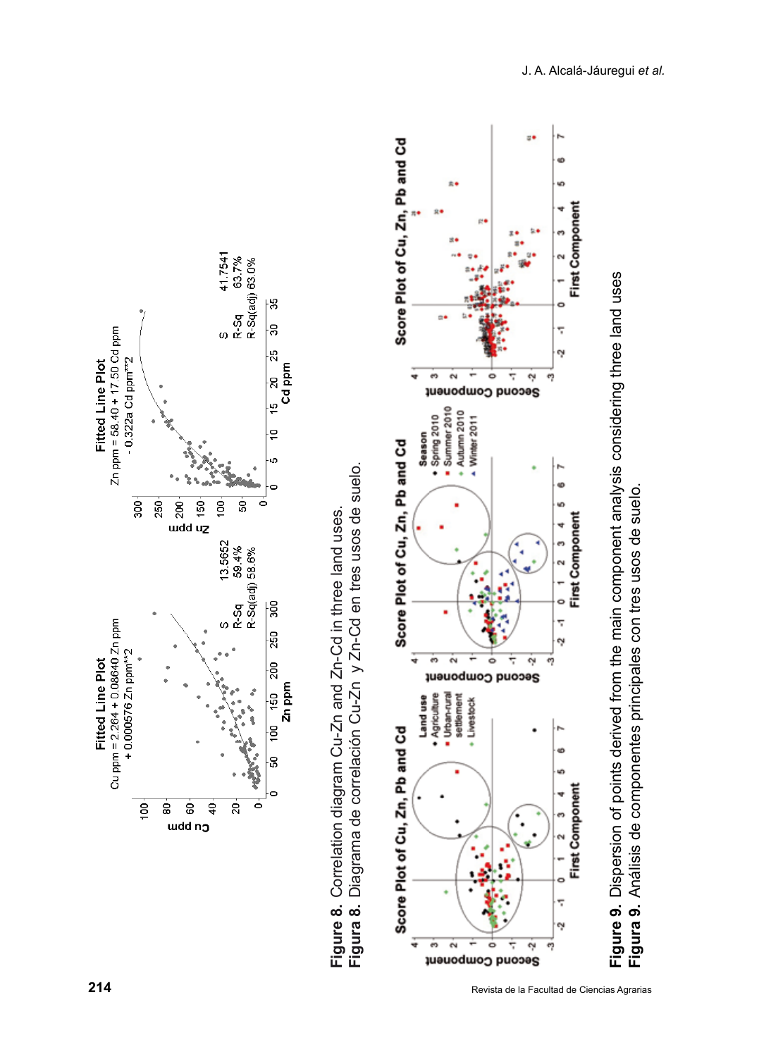



First Component

First Component

First Component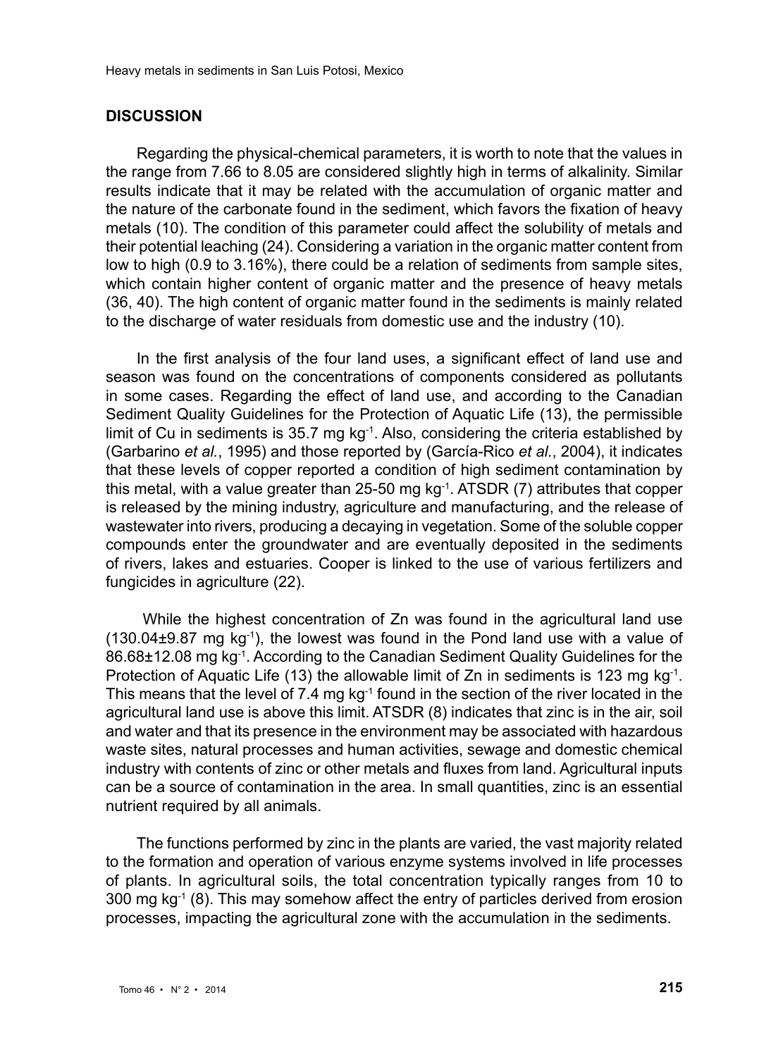#### **DISCUSSION**

Regarding the physical-chemical parameters, it is worth to note that the values in the range from 7.66 to 8.05 are considered slightly high in terms of alkalinity. Similar results indicate that it may be related with the accumulation of organic matter and the nature of the carbonate found in the sediment, which favors the fixation of heavy metals (10). The condition of this parameter could affect the solubility of metals and their potential leaching (24). Considering a variation in the organic matter content from low to high (0.9 to 3.16%), there could be a relation of sediments from sample sites, which contain higher content of organic matter and the presence of heavy metals (36, 40). The high content of organic matter found in the sediments is mainly related to the discharge of water residuals from domestic use and the industry (10).

In the first analysis of the four land uses, a significant effect of land use and season was found on the concentrations of components considered as pollutants in some cases. Regarding the effect of land use, and according to the Canadian Sediment Quality Guidelines for the Protection of Aquatic Life (13), the permissible limit of Cu in sediments is 35.7 mg  $kg<sup>-1</sup>$ . Also, considering the criteria established by (Garbarino *et al.*, 1995) and those reported by (García-Rico *et al.*, 2004), it indicates that these levels of copper reported a condition of high sediment contamination by this metal, with a value greater than 25-50 mg kg-1. ATSDR (7) attributes that copper is released by the mining industry, agriculture and manufacturing, and the release of wastewater into rivers, producing a decaying in vegetation. Some of the soluble copper compounds enter the groundwater and are eventually deposited in the sediments of rivers, lakes and estuaries. Cooper is linked to the use of various fertilizers and fungicides in agriculture (22).

While the highest concentration of Zn was found in the agricultural land use  $(130.04\pm9.87 \text{ mg kg}^{-1})$ , the lowest was found in the Pond land use with a value of 86.68±12.08 mg kg-1. According to the Canadian Sediment Quality Guidelines for the Protection of Aquatic Life (13) the allowable limit of Zn in sediments is 123 mg kg<sup>-1</sup>. This means that the level of 7.4 mg  $kg<sup>-1</sup>$  found in the section of the river located in the agricultural land use is above this limit. ATSDR (8) indicates that zinc is in the air, soil and water and that its presence in the environment may be associated with hazardous waste sites, natural processes and human activities, sewage and domestic chemical industry with contents of zinc or other metals and fluxes from land. Agricultural inputs can be a source of contamination in the area. In small quantities, zinc is an essential nutrient required by all animals.

The functions performed by zinc in the plants are varied, the vast majority related to the formation and operation of various enzyme systems involved in life processes of plants. In agricultural soils, the total concentration typically ranges from 10 to 300 mg kg-1 (8). This may somehow affect the entry of particles derived from erosion processes, impacting the agricultural zone with the accumulation in the sediments.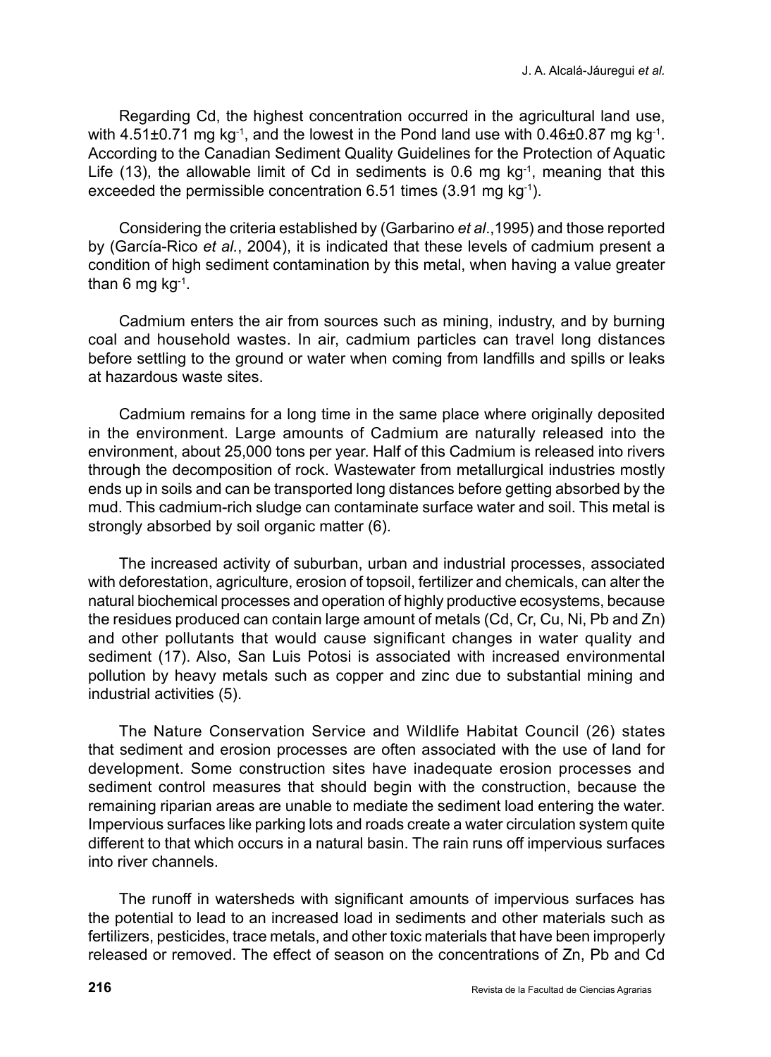Regarding Cd, the highest concentration occurred in the agricultural land use, with  $4.51\pm0.71$  mg kg<sup>-1</sup>, and the lowest in the Pond land use with  $0.46\pm0.87$  mg kg<sup>-1</sup>. According to the Canadian Sediment Quality Guidelines for the Protection of Aquatic Life (13), the allowable limit of Cd in sediments is 0.6 mg kg<sup>-1</sup>, meaning that this exceeded the permissible concentration 6.51 times  $(3.91 \text{ ma kg}^{-1})$ .

Considering the criteria established by (Garbarino *et al*.,1995) and those reported by (García-Rico *et al.*, 2004), it is indicated that these levels of cadmium present a condition of high sediment contamination by this metal, when having a value greater than 6 mg  $kq^{-1}$ .

Cadmium enters the air from sources such as mining, industry, and by burning coal and household wastes. In air, cadmium particles can travel long distances before settling to the ground or water when coming from landfills and spills or leaks at hazardous waste sites.

Cadmium remains for a long time in the same place where originally deposited in the environment. Large amounts of Cadmium are naturally released into the environment, about 25,000 tons per year. Half of this Cadmium is released into rivers through the decomposition of rock. Wastewater from metallurgical industries mostly ends up in soils and can be transported long distances before getting absorbed by the mud. This cadmium-rich sludge can contaminate surface water and soil. This metal is strongly absorbed by soil organic matter (6).

The increased activity of suburban, urban and industrial processes, associated with deforestation, agriculture, erosion of topsoil, fertilizer and chemicals, can alter the natural biochemical processes and operation of highly productive ecosystems, because the residues produced can contain large amount of metals (Cd, Cr, Cu, Ni, Pb and Zn) and other pollutants that would cause significant changes in water quality and sediment (17). Also, San Luis Potosi is associated with increased environmental pollution by heavy metals such as copper and zinc due to substantial mining and industrial activities (5).

The Nature Conservation Service and Wildlife Habitat Council (26) states that sediment and erosion processes are often associated with the use of land for development. Some construction sites have inadequate erosion processes and sediment control measures that should begin with the construction, because the remaining riparian areas are unable to mediate the sediment load entering the water. Impervious surfaces like parking lots and roads create a water circulation system quite different to that which occurs in a natural basin. The rain runs off impervious surfaces into river channels.

The runoff in watersheds with significant amounts of impervious surfaces has the potential to lead to an increased load in sediments and other materials such as fertilizers, pesticides, trace metals, and other toxic materials that have been improperly released or removed. The effect of season on the concentrations of Zn, Pb and Cd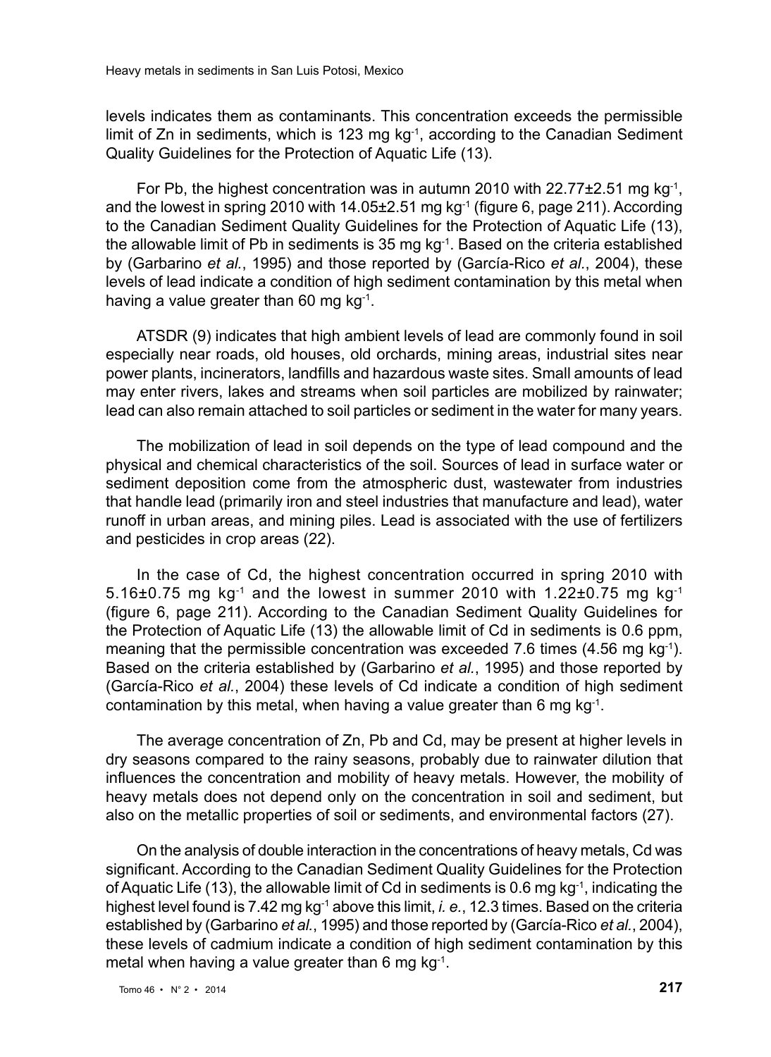levels indicates them as contaminants. This concentration exceeds the permissible limit of Zn in sediments, which is 123 mg kg-1, according to the Canadian Sediment Quality Guidelines for the Protection of Aquatic Life (13).

For Pb, the highest concentration was in autumn 2010 with  $22.77 \pm 2.51$  mg kg<sup>-1</sup>, and the lowest in spring 2010 with  $14.05 \pm 2.51$  mg kg<sup>-1</sup> (figure 6, page 211). According to the Canadian Sediment Quality Guidelines for the Protection of Aquatic Life (13), the allowable limit of Pb in sediments is 35 mg kg-1. Based on the criteria established by (Garbarino *et al.*, 1995) and those reported by (García-Rico *et al.*, 2004), these levels of lead indicate a condition of high sediment contamination by this metal when having a value greater than 60 mg kg-1.

ATSDR (9) indicates that high ambient levels of lead are commonly found in soil especially near roads, old houses, old orchards, mining areas, industrial sites near power plants, incinerators, landfills and hazardous waste sites. Small amounts of lead may enter rivers, lakes and streams when soil particles are mobilized by rainwater; lead can also remain attached to soil particles or sediment in the water for many years.

The mobilization of lead in soil depends on the type of lead compound and the physical and chemical characteristics of the soil. Sources of lead in surface water or sediment deposition come from the atmospheric dust, wastewater from industries that handle lead (primarily iron and steel industries that manufacture and lead), water runoff in urban areas, and mining piles. Lead is associated with the use of fertilizers and pesticides in crop areas (22).

In the case of Cd, the highest concentration occurred in spring 2010 with 5.16 $\pm$ 0.75 mg kg<sup>-1</sup> and the lowest in summer 2010 with 1.22 $\pm$ 0.75 mg kg<sup>-1</sup> (figure 6, page 211). According to the Canadian Sediment Quality Guidelines for the Protection of Aquatic Life (13) the allowable limit of Cd in sediments is 0.6 ppm, meaning that the permissible concentration was exceeded 7.6 times (4.56 mg kg-1). Based on the criteria established by (Garbarino *et al.*, 1995) and those reported by (García-Rico *et al.*, 2004) these levels of Cd indicate a condition of high sediment contamination by this metal, when having a value greater than 6 mg kg-1.

The average concentration of Zn, Pb and Cd, may be present at higher levels in dry seasons compared to the rainy seasons, probably due to rainwater dilution that influences the concentration and mobility of heavy metals. However, the mobility of heavy metals does not depend only on the concentration in soil and sediment, but also on the metallic properties of soil or sediments, and environmental factors (27).

On the analysis of double interaction in the concentrations of heavy metals, Cd was significant. According to the Canadian Sediment Quality Guidelines for the Protection of Aquatic Life (13), the allowable limit of Cd in sediments is 0.6 mg  $kq^{-1}$ , indicating the highest level found is 7.42 mg kg-1 above this limit, *i. e.*, 12.3 times. Based on the criteria established by (Garbarino *et al.*, 1995) and those reported by (García-Rico *et al.*, 2004), these levels of cadmium indicate a condition of high sediment contamination by this metal when having a value greater than 6 mg  $kg<sup>-1</sup>$ .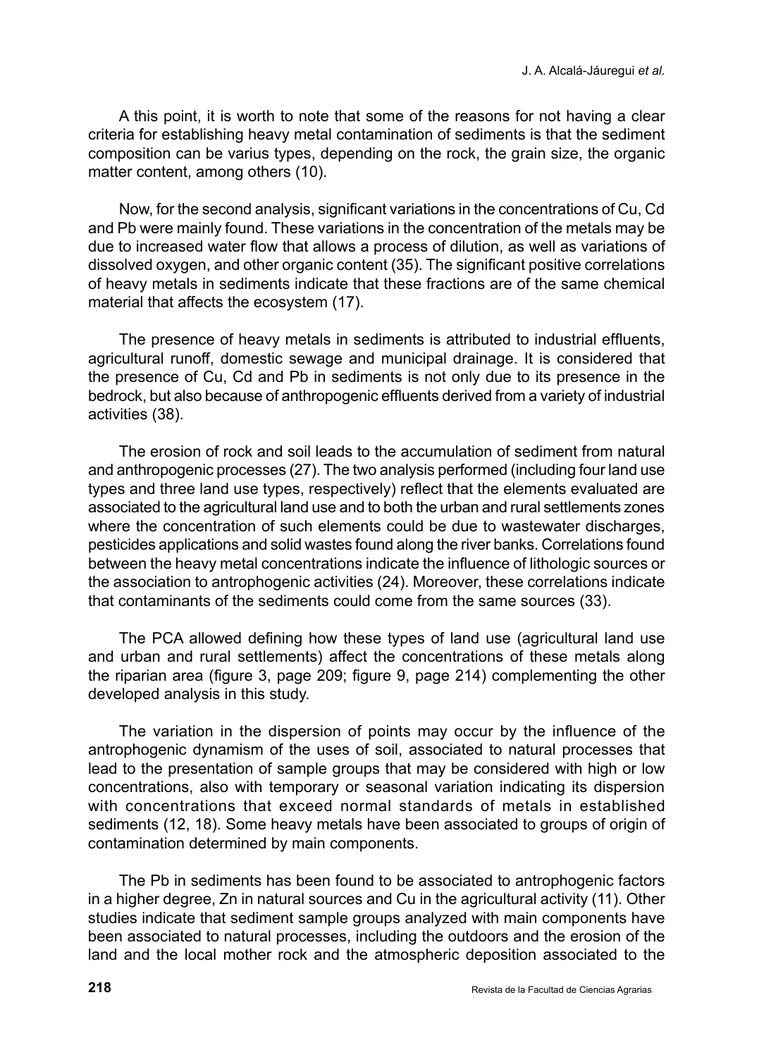A this point, it is worth to note that some of the reasons for not having a clear criteria for establishing heavy metal contamination of sediments is that the sediment composition can be varius types, depending on the rock, the grain size, the organic matter content, among others (10).

Now, for the second analysis, significant variations in the concentrations of Cu, Cd and Pb were mainly found. These variations in the concentration of the metals may be due to increased water flow that allows a process of dilution, as well as variations of dissolved oxygen, and other organic content (35). The significant positive correlations of heavy metals in sediments indicate that these fractions are of the same chemical material that affects the ecosystem (17).

The presence of heavy metals in sediments is attributed to industrial effluents, agricultural runoff, domestic sewage and municipal drainage. It is considered that the presence of Cu, Cd and Pb in sediments is not only due to its presence in the bedrock, but also because of anthropogenic effluents derived from a variety of industrial activities (38).

The erosion of rock and soil leads to the accumulation of sediment from natural and anthropogenic processes (27). The two analysis performed (including four land use types and three land use types, respectively) reflect that the elements evaluated are associated to the agricultural land use and to both the urban and rural settlements zones where the concentration of such elements could be due to wastewater discharges, pesticides applications and solid wastes found along the river banks. Correlations found between the heavy metal concentrations indicate the influence of lithologic sources or the association to antrophogenic activities (24). Moreover, these correlations indicate that contaminants of the sediments could come from the same sources (33).

The PCA allowed defining how these types of land use (agricultural land use and urban and rural settlements) affect the concentrations of these metals along the riparian area (figure 3, page 209; figure 9, page 214) complementing the other developed analysis in this study.

The variation in the dispersion of points may occur by the influence of the antrophogenic dynamism of the uses of soil, associated to natural processes that lead to the presentation of sample groups that may be considered with high or low concentrations, also with temporary or seasonal variation indicating its dispersion with concentrations that exceed normal standards of metals in established sediments (12, 18). Some heavy metals have been associated to groups of origin of contamination determined by main components.

The Pb in sediments has been found to be associated to antrophogenic factors in a higher degree, Zn in natural sources and Cu in the agricultural activity (11). Other studies indicate that sediment sample groups analyzed with main components have been associated to natural processes, including the outdoors and the erosion of the land and the local mother rock and the atmospheric deposition associated to the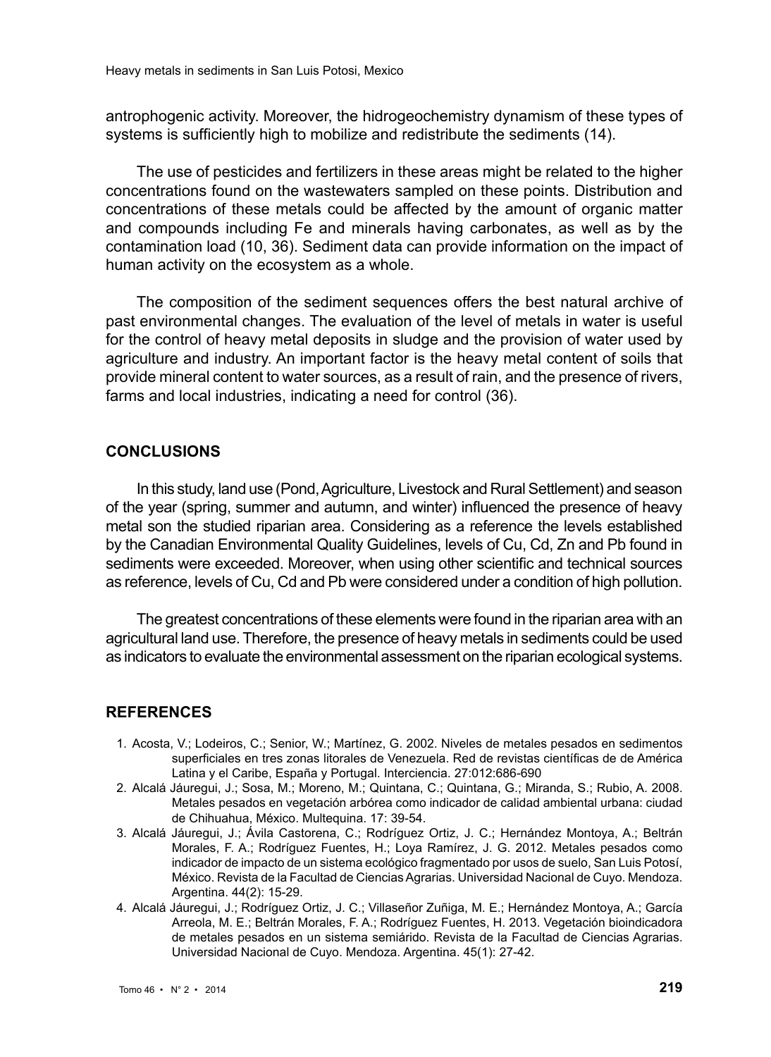antrophogenic activity. Moreover, the hidrogeochemistry dynamism of these types of systems is sufficiently high to mobilize and redistribute the sediments (14).

The use of pesticides and fertilizers in these areas might be related to the higher concentrations found on the wastewaters sampled on these points. Distribution and concentrations of these metals could be affected by the amount of organic matter and compounds including Fe and minerals having carbonates, as well as by the contamination load (10, 36). Sediment data can provide information on the impact of human activity on the ecosystem as a whole.

The composition of the sediment sequences offers the best natural archive of past environmental changes. The evaluation of the level of metals in water is useful for the control of heavy metal deposits in sludge and the provision of water used by agriculture and industry. An important factor is the heavy metal content of soils that provide mineral content to water sources, as a result of rain, and the presence of rivers, farms and local industries, indicating a need for control (36).

#### **CONCLUSIONS**

In this study, land use (Pond, Agriculture, Livestock and Rural Settlement) and season of the year (spring, summer and autumn, and winter) influenced the presence of heavy metal son the studied riparian area. Considering as a reference the levels established by the Canadian Environmental Quality Guidelines, levels of Cu, Cd, Zn and Pb found in sediments were exceeded. Moreover, when using other scientific and technical sources as reference, levels of Cu, Cd and Pb were considered under a condition of high pollution.

The greatest concentrations of these elements were found in the riparian area with an agricultural land use. Therefore, the presence of heavy metals in sediments could be used as indicators to evaluate the environmental assessment on the riparian ecological systems.

## **REFERENCES**

- 1. Acosta, V.; Lodeiros, C.; Senior, W.; Martínez, G. 2002. Niveles de metales pesados en sedimentos superficiales en tres zonas litorales de Venezuela. Red de revistas científicas de de América Latina y el Caribe, España y Portugal. Interciencia. 27:012:686-690
- 2. Alcalá Jáuregui, J.; Sosa, M.; Moreno, M.; Quintana, C.; Quintana, G.; Miranda, S.; Rubio, A. 2008. Metales pesados en vegetación arbórea como indicador de calidad ambiental urbana: ciudad de Chihuahua, México. Multequina. 17: 39-54.
- 3. Alcalá Jáuregui, J.; Ávila Castorena, C.; Rodríguez Ortiz, J. C.; Hernández Montoya, A.; Beltrán Morales, F. A.; Rodríguez Fuentes, H.; Loya Ramírez, J. G. 2012. Metales pesados como indicador de impacto de un sistema ecológico fragmentado por usos de suelo, San Luis Potosí, México. Revista de la Facultad de Ciencias Agrarias. Universidad Nacional de Cuyo. Mendoza. Argentina. 44(2): 15-29.
- 4. Alcalá Jáuregui, J.; Rodríguez Ortiz, J. C.; Villaseñor Zuñiga, M. E.; Hernández Montoya, A.; García Arreola, M. E.; Beltrán Morales, F. A.; Rodríguez Fuentes, H. 2013. Vegetación bioindicadora de metales pesados en un sistema semiárido. Revista de la Facultad de Ciencias Agrarias. Universidad Nacional de Cuyo. Mendoza. Argentina. 45(1): 27-42.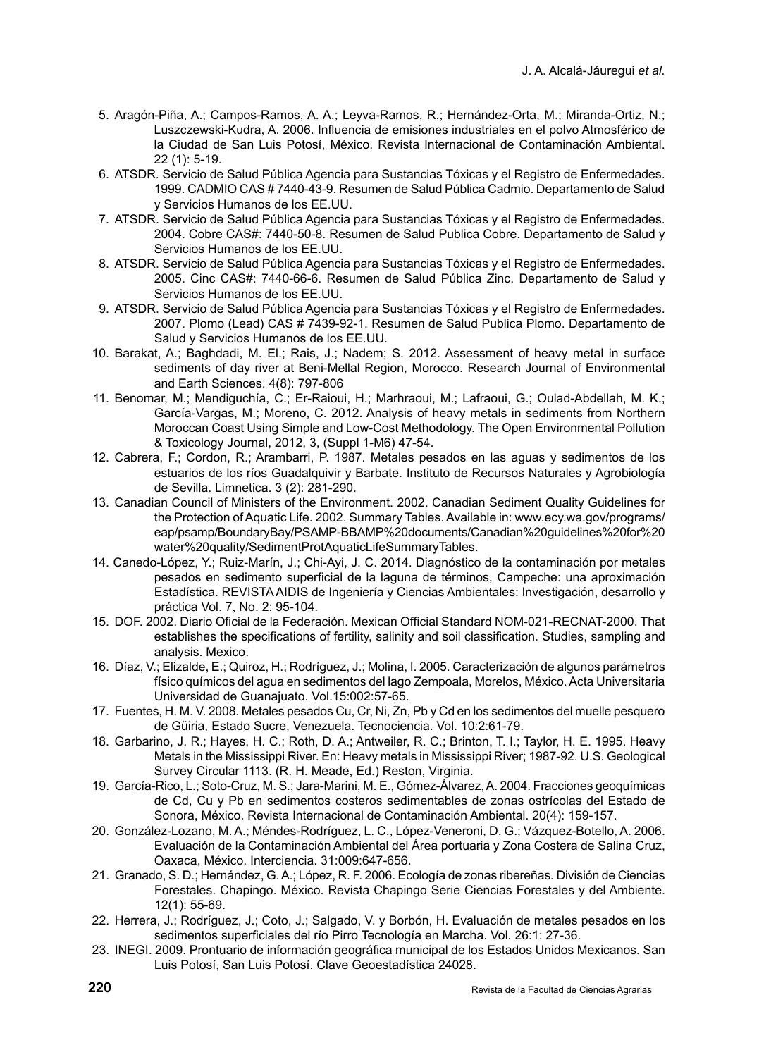- 5. Aragón-Piña, A.; Campos-Ramos, A. A.; Leyva-Ramos, R.; Hernández-Orta, M.; Miranda-Ortiz, N.; Luszczewski-Kudra, A. 2006. Influencia de emisiones industriales en el polvo Atmosférico de la Ciudad de San Luis Potosí, México. Revista Internacional de Contaminación Ambiental. 22 (1): 5-19.
- 6. ATSDR. Servicio de Salud Pública Agencia para Sustancias Tóxicas y el Registro de Enfermedades. 1999. CADMIO CAS # 7440-43-9. Resumen de Salud Pública Cadmio. Departamento de Salud y Servicios Humanos de los EE.UU.
- 7. ATSDR. Servicio de Salud Pública Agencia para Sustancias Tóxicas y el Registro de Enfermedades. 2004. Cobre CAS#: 7440-50-8. Resumen de Salud Publica Cobre. Departamento de Salud y Servicios Humanos de los EE.UU.
- 8. ATSDR. Servicio de Salud Pública Agencia para Sustancias Tóxicas y el Registro de Enfermedades. 2005. Cinc CAS#: 7440-66-6. Resumen de Salud Pública Zinc. Departamento de Salud y Servicios Humanos de los EE.UU.
- 9. ATSDR. Servicio de Salud Pública Agencia para Sustancias Tóxicas y el Registro de Enfermedades. 2007. Plomo (Lead) CAS # 7439-92-1. Resumen de Salud Publica Plomo. Departamento de Salud y Servicios Humanos de los EE.UU.
- 10. Barakat, A.; Baghdadi, M. El.; Rais, J.; Nadem; S. 2012. Assessment of heavy metal in surface sediments of day river at Beni-Mellal Region, Morocco. Research Journal of Environmental and Earth Sciences. 4(8): 797-806
- 11. Benomar, M.; Mendiguchía, C.; Er-Raioui, H.; Marhraoui, M.; Lafraoui, G.; Oulad-Abdellah, M. K.; García-Vargas, M.; Moreno, C. 2012. Analysis of heavy metals in sediments from Northern Moroccan Coast Using Simple and Low-Cost Methodology. The Open Environmental Pollution & Toxicology Journal, 2012, 3, (Suppl 1-M6) 47-54.
- 12. Cabrera, F.; Cordon, R.; Arambarri, P. 1987. Metales pesados en las aguas y sedimentos de los estuarios de los ríos Guadalquivir y Barbate. Instituto de Recursos Naturales y Agrobiología de Sevilla. Limnetica. 3 (2): 281-290.
- 13. Canadian Council of Ministers of the Environment. 2002. Canadian Sediment Quality Guidelines for the Protection of Aquatic Life. 2002. Summary Tables. Available in: www.ecy.wa.gov/programs/ eap/psamp/BoundaryBay/PSAMP-BBAMP%20documents/Canadian%20guidelines%20for%20 water%20quality/SedimentProtAquaticLifeSummaryTables.
- 14. Canedo-López, Y.; Ruiz-Marín, J.; Chi-Ayi, J. C. 2014. Diagnóstico de la contaminación por metales pesados en sedimento superficial de la laguna de términos, Campeche: una aproximación Estadística. REVISTA AIDIS de Ingeniería y Ciencias Ambientales: Investigación, desarrollo y práctica Vol. 7, No. 2: 95-104.
- 15. DOF. 2002. Diario Oficial de la Federación. Mexican Official Standard NOM-021-RECNAT-2000. That establishes the specifications of fertility, salinity and soil classification. Studies, sampling and analysis. Mexico.
- 16. Díaz, V.; Elizalde, E.; Quiroz, H.; Rodríguez, J.; Molina, I. 2005. Caracterización de algunos parámetros físico químicos del agua en sedimentos del lago Zempoala, Morelos, México. Acta Universitaria Universidad de Guanajuato. Vol.15:002:57-65.
- 17. Fuentes, H. M. V. 2008. Metales pesados Cu, Cr, Ni, Zn, Pb y Cd en los sedimentos del muelle pesquero de Güiria, Estado Sucre, Venezuela. Tecnociencia. Vol. 10:2:61-79.
- 18. Garbarino, J. R.; Hayes, H. C.; Roth, D. A.; Antweiler, R. C.; Brinton, T. I.; Taylor, H. E. 1995. Heavy Metals in the Mississippi River. En: Heavy metals in Mississippi River; 1987-92. U.S. Geological Survey Circular 1113. (R. H. Meade, Ed.) Reston, Virginia.
- 19. García-Rico, L.; Soto-Cruz, M. S.; Jara-Marini, M. E., Gómez-Álvarez, A. 2004. Fracciones geoquímicas de Cd, Cu y Pb en sedimentos costeros sedimentables de zonas ostrícolas del Estado de Sonora, México. Revista Internacional de Contaminación Ambiental. 20(4): 159-157.
- 20. González-Lozano, M. A.; Méndes-Rodríguez, L. C., López-Veneroni, D. G.; Vázquez-Botello, A. 2006. Evaluación de la Contaminación Ambiental del Área portuaria y Zona Costera de Salina Cruz, Oaxaca, México. Interciencia. 31:009:647-656.
- 21. Granado, S. D.; Hernández, G. A.; López, R. F. 2006. Ecología de zonas ribereñas. División de Ciencias Forestales. Chapingo. México. Revista Chapingo Serie Ciencias Forestales y del Ambiente. 12(1): 55-69.
- 22. Herrera, J.; Rodríguez, J.; Coto, J.; Salgado, V. y Borbón, H. Evaluación de metales pesados en los sedimentos superficiales del río Pirro Tecnología en Marcha. Vol. 26:1: 27-36.
- 23. INEGI. 2009. Prontuario de información geográfica municipal de los Estados Unidos Mexicanos. San Luis Potosí, San Luis Potosí. Clave Geoestadística 24028.